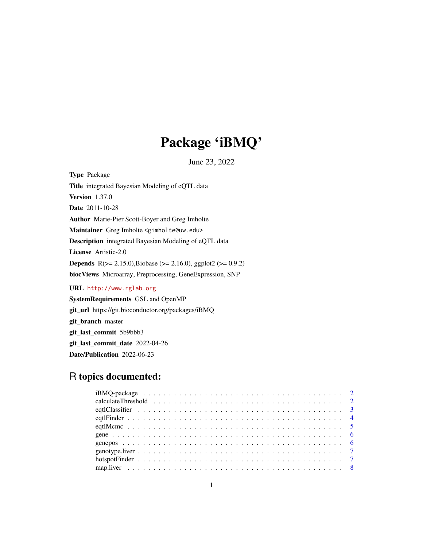## Package 'iBMQ'

June 23, 2022

Type Package Title integrated Bayesian Modeling of eQTL data Version 1.37.0 Date 2011-10-28 Author Marie-Pier Scott-Boyer and Greg Imholte Maintainer Greg Imholte <gimholte@uw.edu> Description integrated Bayesian Modeling of eQTL data License Artistic-2.0 **Depends** R( $>= 2.15.0$ ),Biobase ( $>= 2.16.0$ ), ggplot2 ( $>= 0.9.2$ ) biocViews Microarray, Preprocessing, GeneExpression, SNP URL <http://www.rglab.org>

SystemRequirements GSL and OpenMP git\_url https://git.bioconductor.org/packages/iBMQ git\_branch master git\_last\_commit 5b9bbb3 git\_last\_commit\_date 2022-04-26 Date/Publication 2022-06-23

## R topics documented: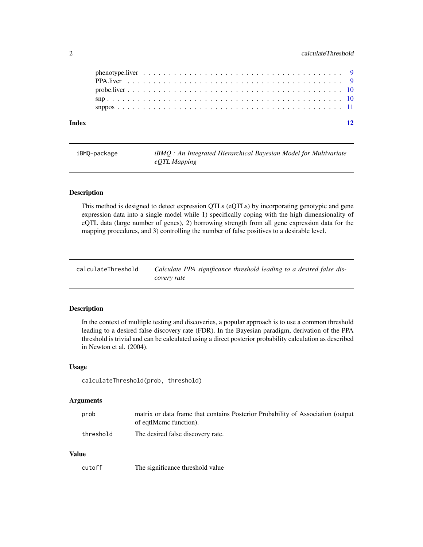## <span id="page-1-0"></span>2 calculateThreshold

| Index |  |  |  |  |  |  |  |  |  |  |  |  |  |  |  |  |  |  |  |
|-------|--|--|--|--|--|--|--|--|--|--|--|--|--|--|--|--|--|--|--|
|       |  |  |  |  |  |  |  |  |  |  |  |  |  |  |  |  |  |  |  |
|       |  |  |  |  |  |  |  |  |  |  |  |  |  |  |  |  |  |  |  |
|       |  |  |  |  |  |  |  |  |  |  |  |  |  |  |  |  |  |  |  |
|       |  |  |  |  |  |  |  |  |  |  |  |  |  |  |  |  |  |  |  |
|       |  |  |  |  |  |  |  |  |  |  |  |  |  |  |  |  |  |  |  |

| iBMO-package | <i>iBMO</i> : An Integrated Hierarchical Bayesian Model for Multivariate<br>eQTL Mapping |
|--------------|------------------------------------------------------------------------------------------|
|              |                                                                                          |

## Description

This method is designed to detect expression QTLs (eQTLs) by incorporating genotypic and gene expression data into a single model while 1) specifically coping with the high dimensionality of eQTL data (large number of genes), 2) borrowing strength from all gene expression data for the mapping procedures, and 3) controlling the number of false positives to a desirable level.

| calculateThreshold | Calculate PPA significance threshold leading to a desired false dis- |
|--------------------|----------------------------------------------------------------------|
|                    | covery rate                                                          |

## Description

In the context of multiple testing and discoveries, a popular approach is to use a common threshold leading to a desired false discovery rate (FDR). In the Bayesian paradigm, derivation of the PPA threshold is trivial and can be calculated using a direct posterior probability calculation as described in Newton et al. (2004).

#### Usage

calculateThreshold(prob, threshold)

#### Arguments

| prob      | matrix or data frame that contains Posterior Probability of Association (output |
|-----------|---------------------------------------------------------------------------------|
|           | of eqtlMcmc function).                                                          |
| threshold | The desired false discovery rate.                                               |

#### Value

| cutoff | The significance threshold value |
|--------|----------------------------------|
|--------|----------------------------------|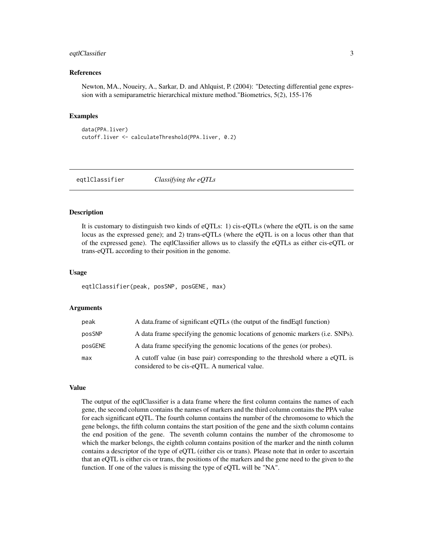## <span id="page-2-0"></span>eqtlClassifier 3

#### References

Newton, MA., Noueiry, A., Sarkar, D. and Ahlquist, P. (2004): "Detecting differential gene expression with a semiparametric hierarchical mixture method."Biometrics, 5(2), 155-176

#### Examples

```
data(PPA.liver)
cutoff.liver <- calculateThreshold(PPA.liver, 0.2)
```
eqtlClassifier *Classifying the eQTLs*

## Description

It is customary to distinguish two kinds of eQTLs: 1) cis-eQTLs (where the eQTL is on the same locus as the expressed gene); and 2) trans-eQTLs (where the eQTL is on a locus other than that of the expressed gene). The eqtlClassifier allows us to classify the eQTLs as either cis-eQTL or trans-eQTL according to their position in the genome.

#### Usage

eqtlClassifier(peak, posSNP, posGENE, max)

## Arguments

| peak    | A data frame of significant eQTLs (the output of the find Eqt I function)                                                     |
|---------|-------------------------------------------------------------------------------------------------------------------------------|
| posSNP  | A data frame specifying the genomic locations of genomic markers (i.e. SNPs).                                                 |
| posGENE | A data frame specifying the genomic locations of the genes (or probes).                                                       |
| max     | A cutoff value (in base pair) corresponding to the threshold where a eQTL is<br>considered to be cis-eOTL. A numerical value. |

#### Value

The output of the eqtlClassifier is a data frame where the first column contains the names of each gene, the second column contains the names of markers and the third column contains the PPA value for each significant eQTL. The fourth column contains the number of the chromosome to which the gene belongs, the fifth column contains the start position of the gene and the sixth column contains the end position of the gene. The seventh column contains the number of the chromosome to which the marker belongs, the eighth column contains position of the marker and the ninth column contains a descriptor of the type of eQTL (either cis or trans). Please note that in order to ascertain that an eQTL is either cis or trans, the positions of the markers and the gene need to the given to the function. If one of the values is missing the type of eQTL will be "NA".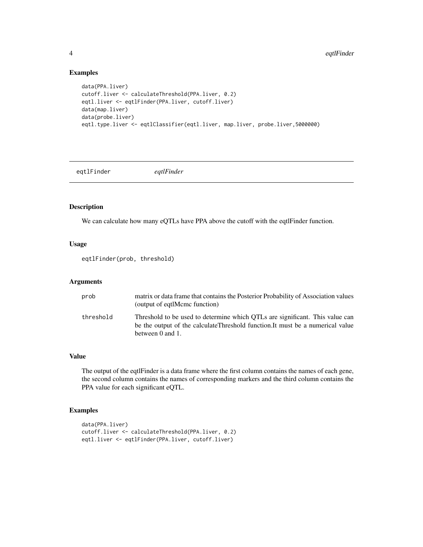## Examples

```
data(PPA.liver)
cutoff.liver <- calculateThreshold(PPA.liver, 0.2)
eqtl.liver <- eqtlFinder(PPA.liver, cutoff.liver)
data(map.liver)
data(probe.liver)
eqtl.type.liver <- eqtlClassifier(eqtl.liver, map.liver, probe.liver,5000000)
```
eqtlFinder *eqtlFinder*

## Description

We can calculate how many eQTLs have PPA above the cutoff with the eqtlFinder function.

#### Usage

eqtlFinder(prob, threshold)

## Arguments

| prob      | matrix or data frame that contains the Posterior Probability of Association values<br>(output of eqtlMcmc function)                                                                |
|-----------|------------------------------------------------------------------------------------------------------------------------------------------------------------------------------------|
| threshold | Threshold to be used to determine which OTLs are significant. This value can<br>be the output of the calculateThreshold function. It must be a numerical value<br>between 0 and 1. |

## Value

The output of the eqtlFinder is a data frame where the first column contains the names of each gene, the second column contains the names of corresponding markers and the third column contains the PPA value for each significant eQTL.

## Examples

```
data(PPA.liver)
cutoff.liver <- calculateThreshold(PPA.liver, 0.2)
eqtl.liver <- eqtlFinder(PPA.liver, cutoff.liver)
```
<span id="page-3-0"></span>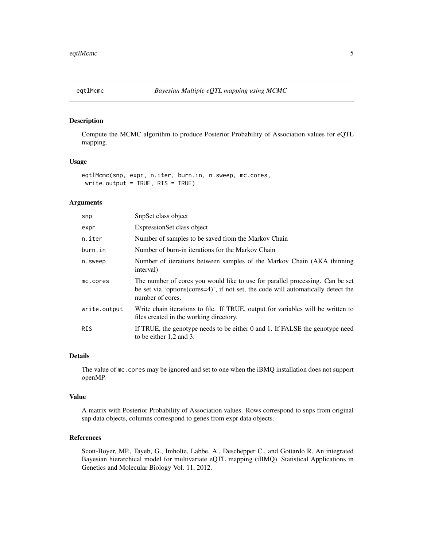<span id="page-4-0"></span>

## Description

Compute the MCMC algorithm to produce Posterior Probability of Association values for eQTL mapping.

## Usage

```
eqtlMcmc(snp, expr, n.iter, burn.in, n.sweep, mc.cores,
write.output = TRUE, RIS = TRUE)
```
## Arguments

| snp          | SnpSet class object                                                                                                                                                                               |
|--------------|---------------------------------------------------------------------------------------------------------------------------------------------------------------------------------------------------|
| expr         | ExpressionSet class object                                                                                                                                                                        |
| n.iter       | Number of samples to be saved from the Markov Chain                                                                                                                                               |
| burn.in      | Number of burn-in iterations for the Markov Chain                                                                                                                                                 |
| n.sweep      | Number of iterations between samples of the Markov Chain (AKA thinning)<br>interval)                                                                                                              |
| mc.cores     | The number of cores you would like to use for parallel processing. Can be set<br>be set via 'options( $\text{cores}=4$ )', if not set, the code will automatically detect the<br>number of cores. |
| write.output | Write chain iterations to file. If TRUE, output for variables will be written to<br>files created in the working directory.                                                                       |
| <b>RIS</b>   | If TRUE, the genotype needs to be either 0 and 1. If FALSE the genotype need<br>to be either 1,2 and 3.                                                                                           |

#### Details

The value of mc.cores may be ignored and set to one when the iBMQ installation does not support openMP.

#### Value

A matrix with Posterior Probability of Association values. Rows correspond to snps from original snp data objects, columns correspond to genes from expr data objects.

#### References

Scott-Boyer, MP., Tayeb, G., Imholte, Labbe, A., Deschepper C., and Gottardo R. An integrated Bayesian hierarchical model for multivariate eQTL mapping (iBMQ). Statistical Applications in Genetics and Molecular Biology Vol. 11, 2012.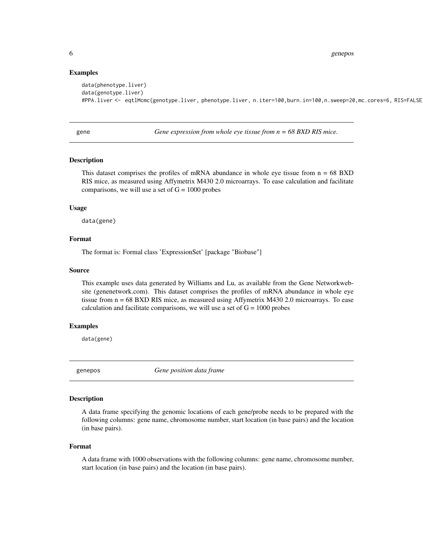6 genepos estableceu en la construction de la construction de la construction de la construction de la construction de la construction de la construction de la construction de la construction de la construction de la const

#### Examples

```
data(phenotype.liver)
data(genotype.liver)
#PPA.liver <- eqtlMcmc(genotype.liver, phenotype.liver, n.iter=100,burn.in=100,n.sweep=20,mc.cores=6, RIS=FALSE)
```
gene *Gene expression from whole eye tissue from n = 68 BXD RIS mice.*

#### Description

This dataset comprises the profiles of mRNA abundance in whole eye tissue from  $n = 68 BXD$ RIS mice, as measured using Affymetrix M430 2.0 microarrays. To ease calculation and facilitate comparisons, we will use a set of  $G = 1000$  probes

#### Usage

data(gene)

## Format

The format is: Formal class 'ExpressionSet' [package "Biobase"]

#### Source

This example uses data generated by Williams and Lu, as available from the Gene Networkwebsite (genenetwork.com). This dataset comprises the profiles of mRNA abundance in whole eye tissue from n = 68 BXD RIS mice, as measured using Affymetrix M430 2.0 microarrays. To ease calculation and facilitate comparisons, we will use a set of  $G = 1000$  probes

#### Examples

data(gene)

genepos *Gene position data frame*

## Description

A data frame specifying the genomic locations of each gene/probe needs to be prepared with the following columns: gene name, chromosome number, start location (in base pairs) and the location (in base pairs).

#### Format

A data frame with 1000 observations with the following columns: gene name, chromosome number, start location (in base pairs) and the location (in base pairs).

<span id="page-5-0"></span>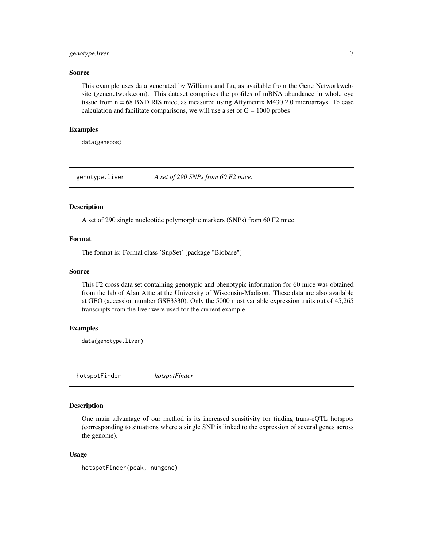## <span id="page-6-0"></span>genotype.liver 7

#### Source

This example uses data generated by Williams and Lu, as available from the Gene Networkwebsite (genenetwork.com). This dataset comprises the profiles of mRNA abundance in whole eye tissue from n = 68 BXD RIS mice, as measured using Affymetrix M430 2.0 microarrays. To ease calculation and facilitate comparisons, we will use a set of  $G = 1000$  probes

## Examples

data(genepos)

genotype.liver *A set of 290 SNPs from 60 F2 mice.*

#### **Description**

A set of 290 single nucleotide polymorphic markers (SNPs) from 60 F2 mice.

## Format

The format is: Formal class 'SnpSet' [package "Biobase"]

#### Source

This F2 cross data set containing genotypic and phenotypic information for 60 mice was obtained from the lab of Alan Attie at the University of Wisconsin-Madison. These data are also available at GEO (accession number GSE3330). Only the 5000 most variable expression traits out of 45,265 transcripts from the liver were used for the current example.

#### Examples

data(genotype.liver)

hotspotFinder *hotspotFinder*

## Description

One main advantage of our method is its increased sensitivity for finding trans-eQTL hotspots (corresponding to situations where a single SNP is linked to the expression of several genes across the genome).

#### Usage

hotspotFinder(peak, numgene)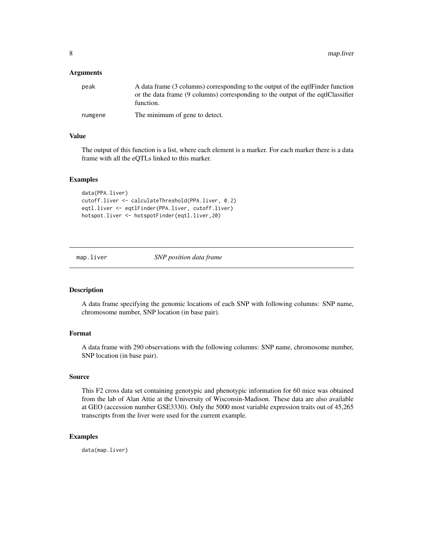<span id="page-7-0"></span>8 map.liver

#### **Arguments**

| peak    | A data frame (3 columns) corresponding to the output of the eqtl Finder function<br>or the data frame (9 columns) corresponding to the output of the eqtlClassifier<br>function. |
|---------|----------------------------------------------------------------------------------------------------------------------------------------------------------------------------------|
| numgene | The minimum of gene to detect.                                                                                                                                                   |

## Value

The output of this function is a list, where each element is a marker. For each marker there is a data frame with all the eQTLs linked to this marker.

## Examples

```
data(PPA.liver)
cutoff.liver <- calculateThreshold(PPA.liver, 0.2)
eqtl.liver <- eqtlFinder(PPA.liver, cutoff.liver)
hotspot.liver <- hotspotFinder(eqtl.liver,20)
```
map.liver *SNP position data frame*

#### Description

A data frame specifying the genomic locations of each SNP with following columns: SNP name, chromosome number, SNP location (in base pair).

#### Format

A data frame with 290 observations with the following columns: SNP name, chromosome number, SNP location (in base pair).

#### Source

This F2 cross data set containing genotypic and phenotypic information for 60 mice was obtained from the lab of Alan Attie at the University of Wisconsin-Madison. These data are also available at GEO (accession number GSE3330). Only the 5000 most variable expression traits out of 45,265 transcripts from the liver were used for the current example.

## Examples

data(map.liver)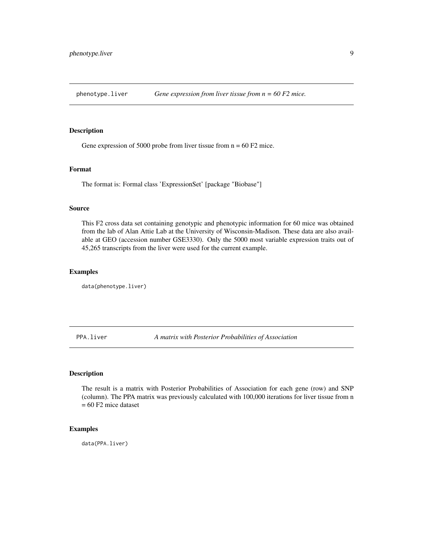<span id="page-8-0"></span>

#### Description

Gene expression of 5000 probe from liver tissue from  $n = 60 F2$  mice.

#### Format

The format is: Formal class 'ExpressionSet' [package "Biobase"]

#### Source

This F2 cross data set containing genotypic and phenotypic information for 60 mice was obtained from the lab of Alan Attie Lab at the University of Wisconsin-Madison. These data are also available at GEO (accession number GSE3330). Only the 5000 most variable expression traits out of 45,265 transcripts from the liver were used for the current example.

#### Examples

data(phenotype.liver)

PPA.liver *A matrix with Posterior Probabilities of Association*

#### Description

The result is a matrix with Posterior Probabilities of Association for each gene (row) and SNP (column). The PPA matrix was previously calculated with 100,000 iterations for liver tissue from n  $= 60$  F2 mice dataset

## Examples

data(PPA.liver)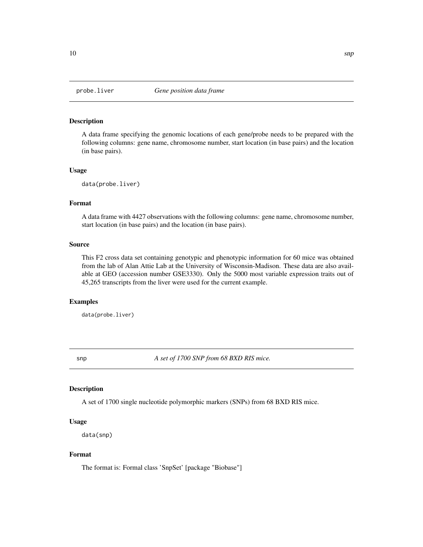<span id="page-9-0"></span>

## Description

A data frame specifying the genomic locations of each gene/probe needs to be prepared with the following columns: gene name, chromosome number, start location (in base pairs) and the location (in base pairs).

## Usage

data(probe.liver)

#### Format

A data frame with 4427 observations with the following columns: gene name, chromosome number, start location (in base pairs) and the location (in base pairs).

#### Source

This F2 cross data set containing genotypic and phenotypic information for 60 mice was obtained from the lab of Alan Attie Lab at the University of Wisconsin-Madison. These data are also available at GEO (accession number GSE3330). Only the 5000 most variable expression traits out of 45,265 transcripts from the liver were used for the current example.

#### Examples

data(probe.liver)

snp *A set of 1700 SNP from 68 BXD RIS mice.*

#### Description

A set of 1700 single nucleotide polymorphic markers (SNPs) from 68 BXD RIS mice.

## Usage

```
data(snp)
```
## Format

The format is: Formal class 'SnpSet' [package "Biobase"]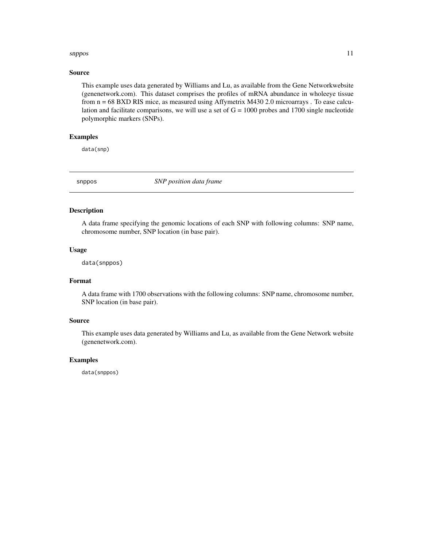#### <span id="page-10-0"></span>snppos and the state of the state of the state of the state of the state of the state of the state of the state of the state of the state of the state of the state of the state of the state of the state of the state of the

#### Source

This example uses data generated by Williams and Lu, as available from the Gene Networkwebsite (genenetwork.com). This dataset comprises the profiles of mRNA abundance in wholeeye tissue from n = 68 BXD RIS mice, as measured using Affymetrix M430 2.0 microarrays . To ease calculation and facilitate comparisons, we will use a set of  $G = 1000$  probes and 1700 single nucleotide polymorphic markers (SNPs).

## Examples

data(snp)

snppos *SNP position data frame*

## Description

A data frame specifying the genomic locations of each SNP with following columns: SNP name, chromosome number, SNP location (in base pair).

## Usage

data(snppos)

## Format

A data frame with 1700 observations with the following columns: SNP name, chromosome number, SNP location (in base pair).

#### Source

This example uses data generated by Williams and Lu, as available from the Gene Network website (genenetwork.com).

#### Examples

data(snppos)